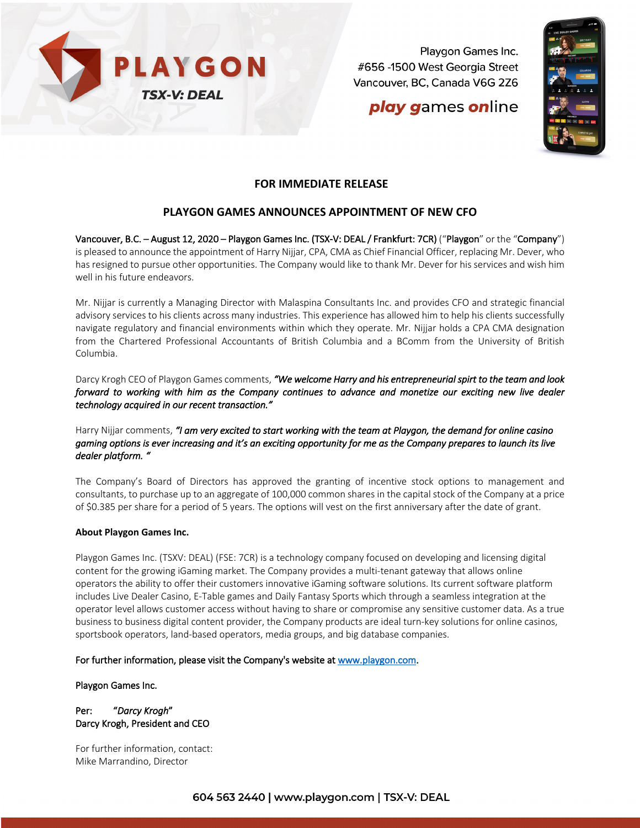

Playgon Games Inc. #656 -1500 West Georgia Street Vancouver, BC, Canada V6G 2Z6

## play games online



### **FOR IMMEDIATE RELEASE**

## **PLAYGON GAMES ANNOUNCES APPOINTMENT OF NEW CFO**

Vancouver, B.C. – August 12, 2020 – Playgon Games Inc. (TSX-V: DEAL / Frankfurt: 7CR) ("Playgon" or the "Company") is pleased to announce the appointment of Harry Nijjar, CPA, CMA as Chief Financial Officer, replacing Mr. Dever, who has resigned to pursue other opportunities. The Company would like to thank Mr. Dever for his services and wish him well in his future endeavors.

Mr. Nijjar is currently a Managing Director with Malaspina Consultants Inc. and provides CFO and strategic financial advisory services to his clients across many industries. This experience has allowed him to help his clients successfully navigate regulatory and financial environments within which they operate. Mr. Nijjar holds a CPA CMA designation from the Chartered Professional Accountants of British Columbia and a BComm from the University of British Columbia.

Darcy Krogh CEO of Playgon Games comments, *"We welcome Harry and his entrepreneurial spirt to the team and look forward to working with him as the Company continues to advance and monetize our exciting new live dealer technology acquired in our recent transaction."* 

#### Harry Nijjar comments, *"I am very excited to start working with the team at Playgon, the demand for online casino gaming options is ever increasing and it's an exciting opportunity for me as the Company prepares to launch its live dealer platform. "*

The Company's Board of Directors has approved the granting of incentive stock options to management and consultants, to purchase up to an aggregate of 100,000 common shares in the capital stock of the Company at a price of \$0.385 per share for a period of 5 years. The options will vest on the first anniversary after the date of grant.

#### **About Playgon Games Inc.**

Playgon Games Inc. (TSXV: DEAL) (FSE: 7CR) is a technology company focused on developing and licensing digital content for the growing iGaming market. The Company provides a multi-tenant gateway that allows online operators the ability to offer their customers innovative iGaming software solutions. Its current software platform includes Live Dealer Casino, E-Table games and Daily Fantasy Sports which through a seamless integration at the operator level allows customer access without having to share or compromise any sensitive customer data. As a true business to business digital content provider, the Company products are ideal turn-key solutions for online casinos, sportsbook operators, land-based operators, media groups, and big database companies.

#### For further information, please visit the Company's website at www.playgon.com.

Playgon Games Inc.

#### Per: "*Darcy Krogh*" Darcy Krogh, President and CEO

For further information, contact: Mike Marrandino, Director